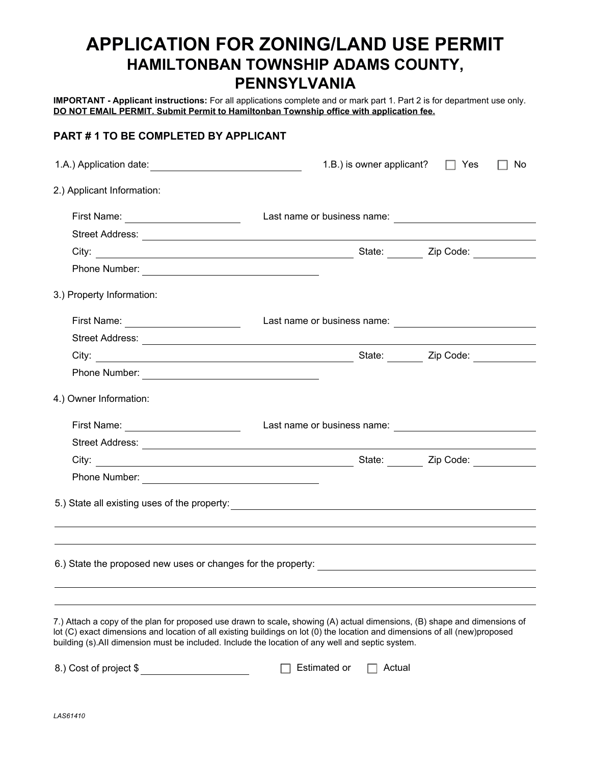## **APPLICATION FOR ZONING/LAND USE PERMIT HAMILTONBAN TOWNSHIP ADAMS COUNTY, PENNSYLVANIA**

**IMPORTANT - Applicant instructions:** For all applications complete and or mark part 1. Part 2 is for department use only. **DO NOT EMAIL PERMIT. Submit Permit to Hamiltonban Township office with application fee.**

## **PART # 1 TO BE COMPLETED BY APPLICANT**

|                                                                                                                                                                                                                                                                                                                                                               | 1.B.) is owner applicant?                                                                                                                                                                                                              | Yes | No |
|---------------------------------------------------------------------------------------------------------------------------------------------------------------------------------------------------------------------------------------------------------------------------------------------------------------------------------------------------------------|----------------------------------------------------------------------------------------------------------------------------------------------------------------------------------------------------------------------------------------|-----|----|
| 2.) Applicant Information:                                                                                                                                                                                                                                                                                                                                    |                                                                                                                                                                                                                                        |     |    |
| First Name: _______________________                                                                                                                                                                                                                                                                                                                           | Last name or business name:<br><u> and the manual contract of the set of the set of the set of the set of the set of the set of the set of the set of the set of the set of the set of the set of the set of the set of the set of</u> |     |    |
|                                                                                                                                                                                                                                                                                                                                                               |                                                                                                                                                                                                                                        |     |    |
|                                                                                                                                                                                                                                                                                                                                                               |                                                                                                                                                                                                                                        |     |    |
|                                                                                                                                                                                                                                                                                                                                                               |                                                                                                                                                                                                                                        |     |    |
| 3.) Property Information:                                                                                                                                                                                                                                                                                                                                     |                                                                                                                                                                                                                                        |     |    |
| First Name: _______________________                                                                                                                                                                                                                                                                                                                           | Last name or business name:<br><u> and the manual contract of the set of the set of the set of the set of the set of the set of the set of the set of the set of the set of the set of the set of the set of the set of the set of</u> |     |    |
|                                                                                                                                                                                                                                                                                                                                                               |                                                                                                                                                                                                                                        |     |    |
|                                                                                                                                                                                                                                                                                                                                                               |                                                                                                                                                                                                                                        |     |    |
|                                                                                                                                                                                                                                                                                                                                                               |                                                                                                                                                                                                                                        |     |    |
| 4.) Owner Information:                                                                                                                                                                                                                                                                                                                                        |                                                                                                                                                                                                                                        |     |    |
| First Name: _______________________                                                                                                                                                                                                                                                                                                                           | Last name or business name:                                                                                                                                                                                                            |     |    |
|                                                                                                                                                                                                                                                                                                                                                               |                                                                                                                                                                                                                                        |     |    |
|                                                                                                                                                                                                                                                                                                                                                               |                                                                                                                                                                                                                                        |     |    |
|                                                                                                                                                                                                                                                                                                                                                               |                                                                                                                                                                                                                                        |     |    |
|                                                                                                                                                                                                                                                                                                                                                               |                                                                                                                                                                                                                                        |     |    |
|                                                                                                                                                                                                                                                                                                                                                               |                                                                                                                                                                                                                                        |     |    |
|                                                                                                                                                                                                                                                                                                                                                               |                                                                                                                                                                                                                                        |     |    |
|                                                                                                                                                                                                                                                                                                                                                               |                                                                                                                                                                                                                                        |     |    |
| 7.) Attach a copy of the plan for proposed use drawn to scale, showing (A) actual dimensions, (B) shape and dimensions of<br>lot (C) exact dimensions and location of all existing buildings on lot (0) the location and dimensions of all (new)proposed<br>building (s). All dimension must be included. Include the location of any well and septic system. |                                                                                                                                                                                                                                        |     |    |

| 8.) Cost of project \$ | $\Box$ Estimated or | ⊟ Actual |
|------------------------|---------------------|----------|
|------------------------|---------------------|----------|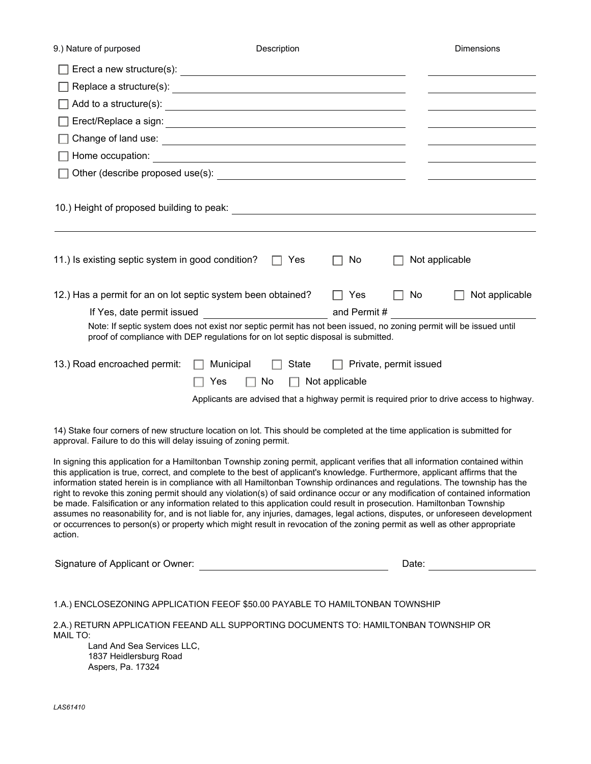| 9.) Nature of purposed                                                                                                                                                                                                                                                                                                                                                                                                                                                                                                                                                                                                                                                                                                                                                                                                                                                                                                                |                                                                                                                                                                                                         | Description                 |                        |        | <b>Dimensions</b>                                                                                                    |                |
|---------------------------------------------------------------------------------------------------------------------------------------------------------------------------------------------------------------------------------------------------------------------------------------------------------------------------------------------------------------------------------------------------------------------------------------------------------------------------------------------------------------------------------------------------------------------------------------------------------------------------------------------------------------------------------------------------------------------------------------------------------------------------------------------------------------------------------------------------------------------------------------------------------------------------------------|---------------------------------------------------------------------------------------------------------------------------------------------------------------------------------------------------------|-----------------------------|------------------------|--------|----------------------------------------------------------------------------------------------------------------------|----------------|
|                                                                                                                                                                                                                                                                                                                                                                                                                                                                                                                                                                                                                                                                                                                                                                                                                                                                                                                                       |                                                                                                                                                                                                         |                             |                        |        |                                                                                                                      |                |
|                                                                                                                                                                                                                                                                                                                                                                                                                                                                                                                                                                                                                                                                                                                                                                                                                                                                                                                                       |                                                                                                                                                                                                         |                             |                        |        |                                                                                                                      |                |
|                                                                                                                                                                                                                                                                                                                                                                                                                                                                                                                                                                                                                                                                                                                                                                                                                                                                                                                                       |                                                                                                                                                                                                         |                             |                        |        |                                                                                                                      |                |
|                                                                                                                                                                                                                                                                                                                                                                                                                                                                                                                                                                                                                                                                                                                                                                                                                                                                                                                                       |                                                                                                                                                                                                         |                             |                        |        | the control of the control of the control of the control of                                                          |                |
|                                                                                                                                                                                                                                                                                                                                                                                                                                                                                                                                                                                                                                                                                                                                                                                                                                                                                                                                       |                                                                                                                                                                                                         |                             |                        |        | <u> 1980 - Johann Barn, mars ann an t-Amhain Aonaich an t-Aonaich an t-Aonaich ann an t-Aonaich ann an t-Aonaich</u> |                |
|                                                                                                                                                                                                                                                                                                                                                                                                                                                                                                                                                                                                                                                                                                                                                                                                                                                                                                                                       |                                                                                                                                                                                                         |                             |                        |        |                                                                                                                      |                |
|                                                                                                                                                                                                                                                                                                                                                                                                                                                                                                                                                                                                                                                                                                                                                                                                                                                                                                                                       |                                                                                                                                                                                                         |                             |                        |        | <u>and the contract of the contract of the contract of</u>                                                           |                |
|                                                                                                                                                                                                                                                                                                                                                                                                                                                                                                                                                                                                                                                                                                                                                                                                                                                                                                                                       |                                                                                                                                                                                                         |                             |                        |        |                                                                                                                      |                |
| 11.) Is existing septic system in good condition?                                                                                                                                                                                                                                                                                                                                                                                                                                                                                                                                                                                                                                                                                                                                                                                                                                                                                     |                                                                                                                                                                                                         | Yes<br>$\Box$               | No                     |        | Not applicable                                                                                                       |                |
| 12.) Has a permit for an on lot septic system been obtained?                                                                                                                                                                                                                                                                                                                                                                                                                                                                                                                                                                                                                                                                                                                                                                                                                                                                          |                                                                                                                                                                                                         |                             | Yes                    | $\Box$ | No                                                                                                                   | Not applicable |
| If Yes, date permit issued                                                                                                                                                                                                                                                                                                                                                                                                                                                                                                                                                                                                                                                                                                                                                                                                                                                                                                            |                                                                                                                                                                                                         | and Permit #                |                        |        |                                                                                                                      |                |
|                                                                                                                                                                                                                                                                                                                                                                                                                                                                                                                                                                                                                                                                                                                                                                                                                                                                                                                                       | Note: If septic system does not exist nor septic permit has not been issued, no zoning permit will be issued until<br>proof of compliance with DEP regulations for on lot septic disposal is submitted. |                             |                        |        |                                                                                                                      |                |
| 13.) Road encroached permit:                                                                                                                                                                                                                                                                                                                                                                                                                                                                                                                                                                                                                                                                                                                                                                                                                                                                                                          | Municipal                                                                                                                                                                                               | State                       | Private, permit issued |        |                                                                                                                      |                |
|                                                                                                                                                                                                                                                                                                                                                                                                                                                                                                                                                                                                                                                                                                                                                                                                                                                                                                                                       | Yes                                                                                                                                                                                                     | No<br>$\Box$ Not applicable |                        |        |                                                                                                                      |                |
|                                                                                                                                                                                                                                                                                                                                                                                                                                                                                                                                                                                                                                                                                                                                                                                                                                                                                                                                       | Applicants are advised that a highway permit is required prior to drive access to highway.                                                                                                              |                             |                        |        |                                                                                                                      |                |
| 14) Stake four corners of new structure location on lot. This should be completed at the time application is submitted for<br>approval. Failure to do this will delay issuing of zoning permit.                                                                                                                                                                                                                                                                                                                                                                                                                                                                                                                                                                                                                                                                                                                                       |                                                                                                                                                                                                         |                             |                        |        |                                                                                                                      |                |
| In signing this application for a Hamiltonban Township zoning permit, applicant verifies that all information contained within<br>this application is true, correct, and complete to the best of applicant's knowledge. Furthermore, applicant affirms that the<br>information stated herein is in compliance with all Hamiltonban Township ordinances and regulations. The township has the<br>right to revoke this zoning permit should any violation(s) of said ordinance occur or any modification of contained information<br>be made. Falsification or any information related to this application could result in prosecution. Hamiltonban Township<br>assumes no reasonability for, and is not liable for, any injuries, damages, legal actions, disputes, or unforeseen development<br>or occurrences to person(s) or property which might result in revocation of the zoning permit as well as other appropriate<br>action. |                                                                                                                                                                                                         |                             |                        |        |                                                                                                                      |                |
| Signature of Applicant or Owner:                                                                                                                                                                                                                                                                                                                                                                                                                                                                                                                                                                                                                                                                                                                                                                                                                                                                                                      | <u> 1989 - Johann Barbara, martxa al</u>                                                                                                                                                                |                             |                        |        | Date:                                                                                                                |                |
| 1.A.) ENCLOSEZONING APPLICATION FEEOF \$50.00 PAYABLE TO HAMILTONBAN TOWNSHIP<br>2.A.) RETURN APPLICATION FEEAND ALL SUPPORTING DOCUMENTS TO: HAMILTONBAN TOWNSHIP OR<br><b>MAIL TO:</b><br>Land And Sea Services LLC,                                                                                                                                                                                                                                                                                                                                                                                                                                                                                                                                                                                                                                                                                                                |                                                                                                                                                                                                         |                             |                        |        |                                                                                                                      |                |
| 1837 Heidlersburg Road                                                                                                                                                                                                                                                                                                                                                                                                                                                                                                                                                                                                                                                                                                                                                                                                                                                                                                                |                                                                                                                                                                                                         |                             |                        |        |                                                                                                                      |                |

Aspers, Pa. 17324